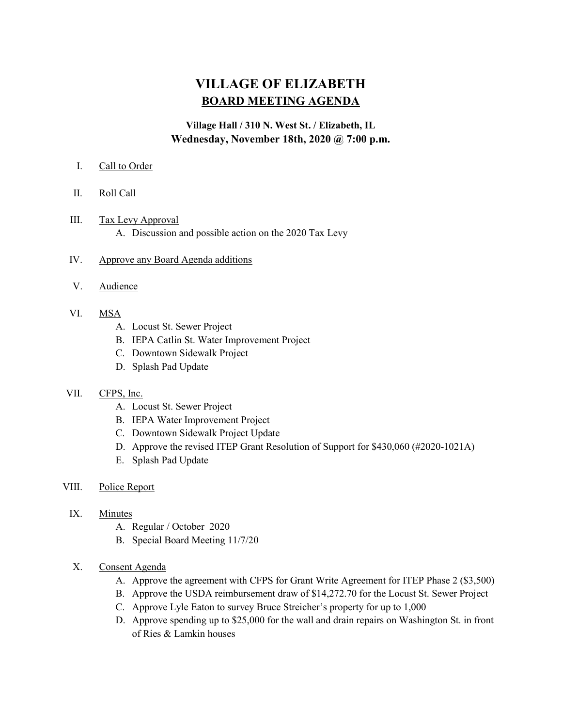## VILLAGE OF ELIZABETH BOARD MEETING AGENDA

## Village Hall / 310 N. West St. / Elizabeth, IL Wednesday, November 18th, 2020 @ 7:00 p.m.

- I. Call to Order
- II. Roll Call
- III. Tax Levy Approval A. Discussion and possible action on the 2020 Tax Levy
- IV. Approve any Board Agenda additions
- V. Audience
- VI. MSA
	- A. Locust St. Sewer Project
	- B. IEPA Catlin St. Water Improvement Project
	- C. Downtown Sidewalk Project
	- D. Splash Pad Update

## VII. CFPS, Inc.

- A. Locust St. Sewer Project
- B. IEPA Water Improvement Project
- C. Downtown Sidewalk Project Update
- D. Approve the revised ITEP Grant Resolution of Support for \$430,060 (#2020-1021A)
- E. Splash Pad Update
- VIII. Police Report
	- IX. Minutes
		- A. Regular / October 2020
		- B. Special Board Meeting 11/7/20
	- X. Consent Agenda
		- A. Approve the agreement with CFPS for Grant Write Agreement for ITEP Phase 2 (\$3,500)
		- B. Approve the USDA reimbursement draw of \$14,272.70 for the Locust St. Sewer Project
		- C. Approve Lyle Eaton to survey Bruce Streicher's property for up to 1,000
		- D. Approve spending up to \$25,000 for the wall and drain repairs on Washington St. in front of Ries & Lamkin houses